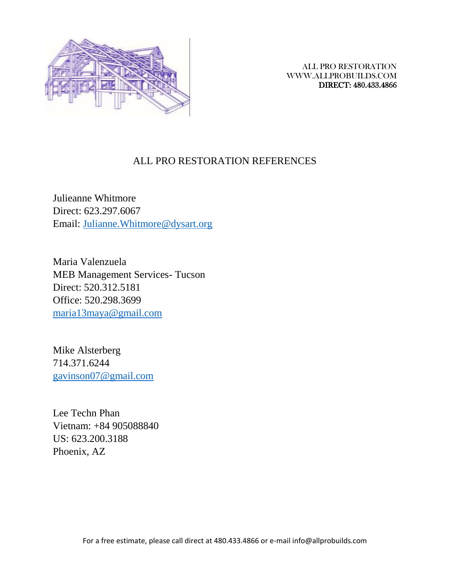

## ALL PRO RESTORATION REFERENCES

Julieanne Whitmore Direct: 623.297.6067 Email: [Julianne.Whitmore@dysart.org](mailto:Julianne.Whitmore@dysart.org)

Maria Valenzuela MEB Management Services- Tucson Direct: 520.312.5181 Office: 520.298.3699 [maria13maya@gmail.com](mailto:maria13maya@gmail.com)

Mike Alsterberg 714.371.6244 [gavinson07@gmail.com](mailto:gavinson07@gmail.com)

Lee Techn Phan Vietnam: +84 905088840 US: 623.200.3188 Phoenix, AZ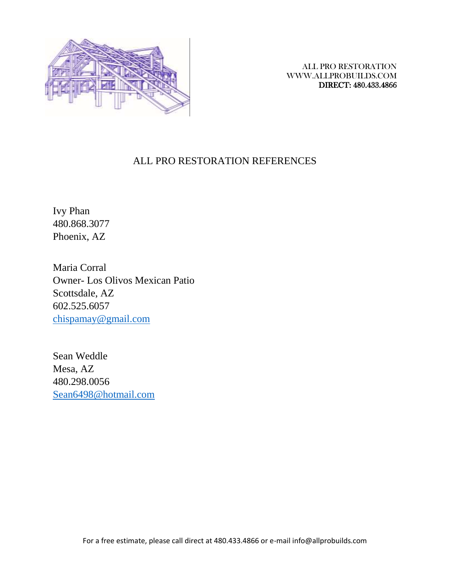

# ALL PRO RESTORATION REFERENCES

Ivy Phan 480.868.3077 Phoenix, AZ

Maria Corral Owner- Los Olivos Mexican Patio Scottsdale, AZ 602.525.6057 [chispamay@gmail.com](mailto:chispamay@gmail.com)

Sean Weddle Mesa, AZ 480.298.0056 [Sean6498@hotmail.com](mailto:Sean6498@hotmail.com)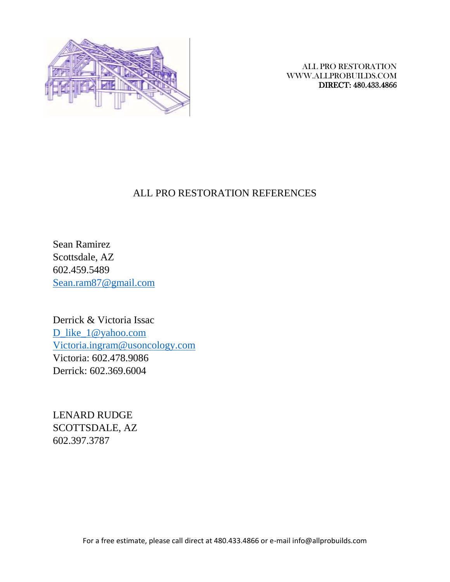

## ALL PRO RESTORATION REFERENCES

Sean Ramirez Scottsdale, AZ 602.459.5489 [Sean.ram87@gmail.com](mailto:Sean.ram87@gmail.com)

Derrick & Victoria Issac [D\\_like\\_1@yahoo.com](mailto:D_like_1@yahoo.com) [Victoria.ingram@usoncology.com](mailto:Victoria.ingram@usoncology.com) Victoria: 602.478.9086 Derrick: 602.369.6004

LENARD RUDGE SCOTTSDALE, AZ 602.397.3787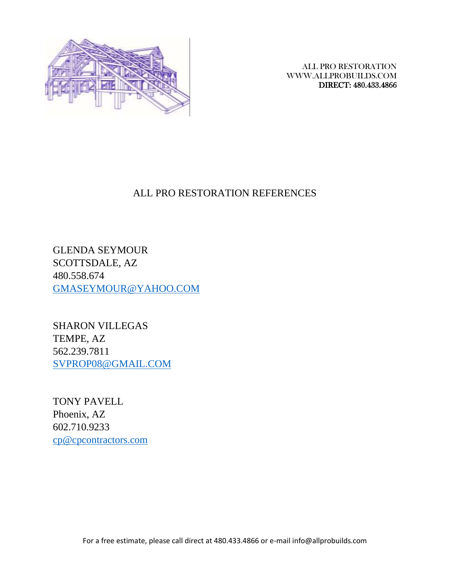

# ALL PRO RESTORATION REFERENCES

GLENDA SEYMOUR SCOTTSDALE, AZ 480.558.674 [GMASEYMOUR@YAHOO.COM](mailto:GMASEYMOUR@YAHOO.COM)

SHARON VILLEGAS TEMPE, AZ 562.239.7811 [SVPROP08@GMAIL.COM](mailto:SVPROP08@GMAIL.COM)

TONY PAVELL Phoenix, AZ 602.710.9233 [cp@cpcontractors.com](mailto:cp@cpcontractors.com)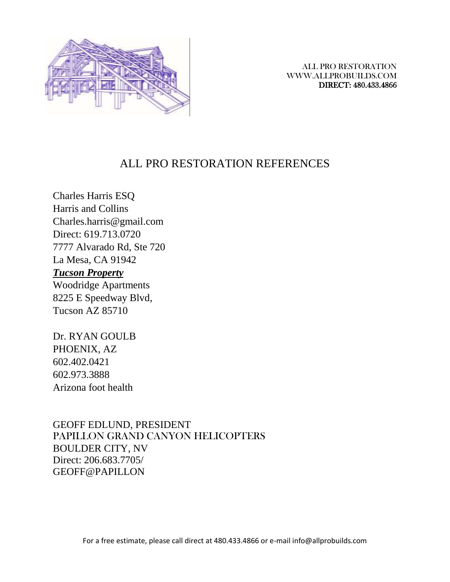

# ALL PRO RESTORATION REFERENCES

Charles Harris ESQ Harris and Collins Charles.harris@gmail.com Direct: 619.713.0720 7777 Alvarado Rd, Ste 720 La Mesa, CA 91942

# *Tucson Property*

Woodridge Apartments 8225 E Speedway Blvd, Tucson AZ 85710

Dr. RYAN GOULB PHOENIX, AZ 602.402.0421 602.973.3888 Arizona foot health

GEOFF EDLUND, PRESIDENT PAPILLON GRAND CANYON HELICOPTERS BOULDER CITY, NV Direct: 206.683.7705/ GEOFF@PAPILLON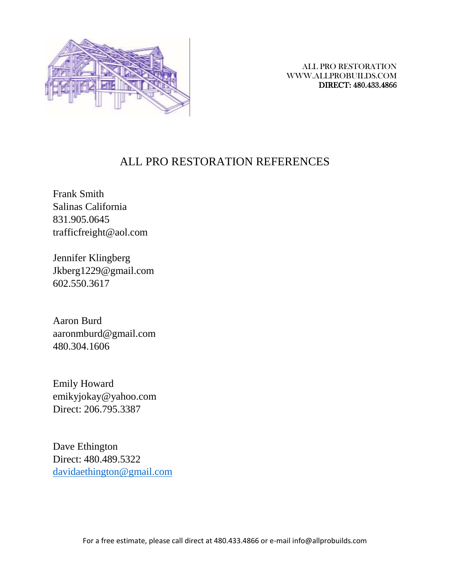

# ALL PRO RESTORATION REFERENCES

Frank Smith Salinas California 831.905.0645 trafficfreight@aol.com

Jennifer Klingberg Jkberg1229@gmail.com 602.550.3617

Aaron Burd aaronmburd@gmail.com 480.304.1606

Emily Howard emikyjokay@yahoo.com Direct: 206.795.3387

Dave Ethington Direct: 480.489.5322 [davidaethington@gmail.com](mailto:davidaethington@gmail.com)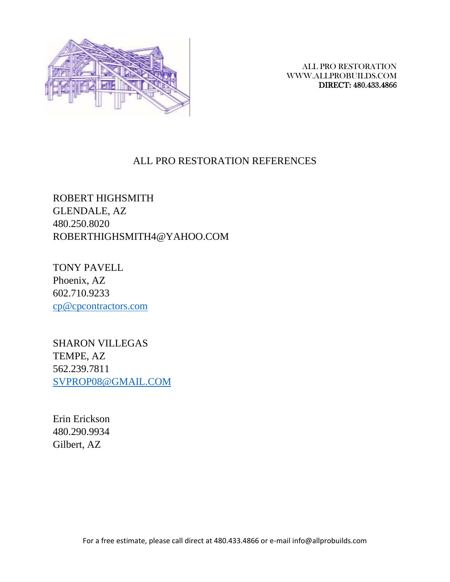

#### ALL PRO RESTORATION REFERENCES

ROBERT HIGHSMITH GLENDALE, AZ 480.250.8020 ROBERTHIGHSMITH4@YAHOO.COM

TONY PAVELL Phoenix, AZ 602.710.9233 [cp@cpcontractors.com](mailto:cp@cpcontractors.com)

SHARON VILLEGAS TEMPE, AZ 562.239.7811 [SVPROP08@GMAIL.COM](mailto:SVPROP08@GMAIL.COM)

Erin Erickson 480.290.9934 Gilbert, AZ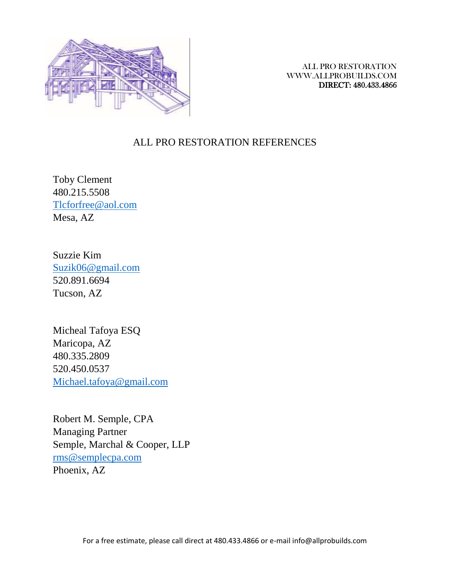

#### ALL PRO RESTORATION REFERENCES

Toby Clement 480.215.5508 [Tlcforfree@aol.com](mailto:Tlcforfree@aol.com) Mesa, AZ

Suzzie Kim [Suzik06@gmail.com](mailto:Suzik06@gmail.com) 520.891.6694 Tucson, AZ

Micheal Tafoya ESQ Maricopa, AZ 480.335.2809 520.450.0537 [Michael.tafoya@gmail.com](mailto:Michael.tafoya@gmail.com)

Robert M. Semple, CPA Managing Partner Semple, Marchal & Cooper, LLP [rms@semplecpa.com](mailto:rms@semplecpa.com) Phoenix, AZ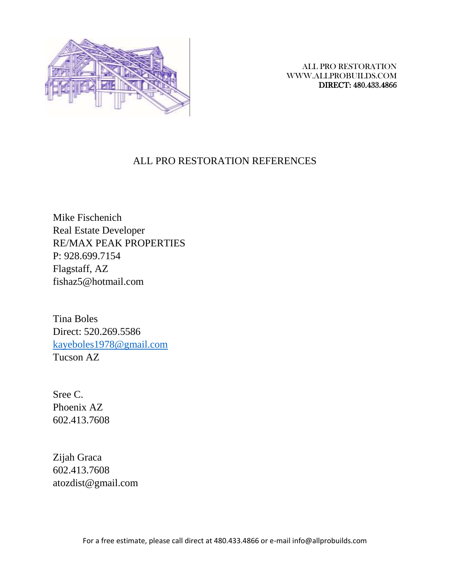

### ALL PRO RESTORATION REFERENCES

Mike Fischenich Real Estate Developer RE/MAX PEAK PROPERTIES P: 928.699.7154 Flagstaff, AZ fishaz5@hotmail.com

Tina Boles Direct: 520.269.5586 [kayeboles1978@gmail.com](mailto:kayeboles1978@gmail.com) Tucson AZ

Sree C. Phoenix AZ 602.413.7608

Zijah Graca 602.413.7608 atozdist@gmail.com